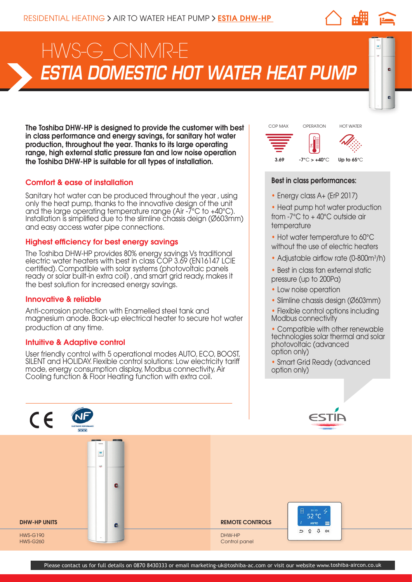# *ESTIA DOMESTIC HOT WATER HEAT PUMP* HWS-G\_CNMR-E

The Toshiba DHW-HP is designed to provide the customer with best in class performance and energy savings, for sanitary hot water production, throughout the year. Thanks to its large operating range, high external static pressure fan and low noise operation the Toshiba DHW-HP is suitable for all types of installation.

# Comfort & ease of installation

Sanitary hot water can be produced throughout the year , using only the heat pump, thanks to the innovative design of the unit and the large operating temperature range (Air -7°C to +40°C). Installation is simplified due to the slimline chassis deign (Ø603mm) and easy access water pipe connections.

# Highest efficiency for best energy savings

The Toshiba DHW-HP provides 80% energy savings Vs traditional electric water heaters with best in class COP 3.69 (EN16147 LCIE certified). Compatible with solar systems (photovoltaic panels ready or solar built-in extra coil), and smart grid ready, makes it the best solution for increased energy savings.

## Innovative & reliable

Anti-corrosion protection with Enamelled steel tank and magnesium anode. Back-up electrical heater to secure hot water production at any time.

#### Intuitive & Adaptive control

User friendly control with 5 operational modes AUTO, ECO, BOOST, SILENT and HOLIDAY. Flexible control solutions: Low electricity tariff mode, energy consumption display, Modbus connectivity, Air Cooling function & Floor Heating function with extra coil.



 $\bullet$ 

### Best in class performances:

- Energy class A+ (ErP 2017)
- Heat pump hot water production from -7°C to + 40°C outside air temperature
- Hot water temperature to 60°C without the use of electric heaters
- Adjustable airflow rate (0-800m<sup>3</sup>/h)
- Best in class fan external static pressure (up to 200Pa)
- Low noise operation
- Slimline chassis design (Ø603mm)
- Flexible control options including Modbus connectivity
- Compatible with other renewable technologies solar thermal and solar photovoltaic (advanced option only)
- Smart Grid Ready (advanced option only)